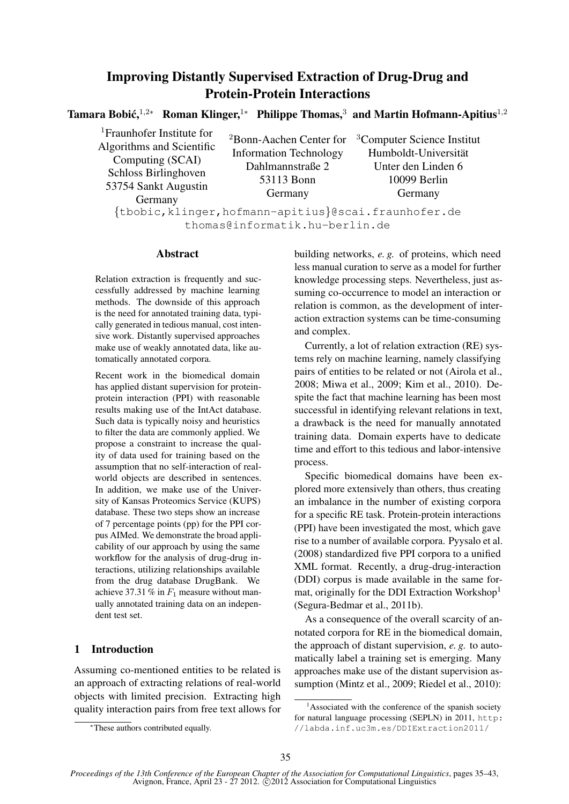# Improving Distantly Supervised Extraction of Drug-Drug and Protein-Protein Interactions

Tamara Bobić,<sup>1,2</sup>\* Roman Klinger,<sup>1</sup>\* Philippe Thomas,<sup>3</sup> and Martin Hofmann-Apitius<sup>1,2</sup>

<sup>1</sup>Fraunhofer Institute for Algorithms and Scientific Computing (SCAI) Schloss Birlinghoven 53754 Sankt Augustin Germany

<sup>2</sup>Bonn-Aachen Center for Information Technology Dahlmannstraße 2 53113 Bonn Germany

<sup>3</sup>Computer Science Institut Humboldt-Universitat¨ Unter den Linden 6 10099 Berlin Germany

{tbobic,klinger,hofmann-apitius}@scai.fraunhofer.de thomas@informatik.hu-berlin.de

### Abstract

Relation extraction is frequently and successfully addressed by machine learning methods. The downside of this approach is the need for annotated training data, typically generated in tedious manual, cost intensive work. Distantly supervised approaches make use of weakly annotated data, like automatically annotated corpora.

Recent work in the biomedical domain has applied distant supervision for proteinprotein interaction (PPI) with reasonable results making use of the IntAct database. Such data is typically noisy and heuristics to filter the data are commonly applied. We propose a constraint to increase the quality of data used for training based on the assumption that no self-interaction of realworld objects are described in sentences. In addition, we make use of the University of Kansas Proteomics Service (KUPS) database. These two steps show an increase of 7 percentage points (pp) for the PPI corpus AIMed. We demonstrate the broad applicability of our approach by using the same workflow for the analysis of drug-drug interactions, utilizing relationships available from the drug database DrugBank. We achieve 37.31 % in  $F_1$  measure without manually annotated training data on an independent test set.

# 1 Introduction

Assuming co-mentioned entities to be related is an approach of extracting relations of real-world objects with limited precision. Extracting high quality interaction pairs from free text allows for building networks, *e. g.* of proteins, which need less manual curation to serve as a model for further knowledge processing steps. Nevertheless, just assuming co-occurrence to model an interaction or relation is common, as the development of interaction extraction systems can be time-consuming and complex.

Currently, a lot of relation extraction (RE) systems rely on machine learning, namely classifying pairs of entities to be related or not (Airola et al., 2008; Miwa et al., 2009; Kim et al., 2010). Despite the fact that machine learning has been most successful in identifying relevant relations in text, a drawback is the need for manually annotated training data. Domain experts have to dedicate time and effort to this tedious and labor-intensive process.

Specific biomedical domains have been explored more extensively than others, thus creating an imbalance in the number of existing corpora for a specific RE task. Protein-protein interactions (PPI) have been investigated the most, which gave rise to a number of available corpora. Pyysalo et al. (2008) standardized five PPI corpora to a unified XML format. Recently, a drug-drug-interaction (DDI) corpus is made available in the same format, originally for the DDI Extraction Workshop<sup>1</sup> (Segura-Bedmar et al., 2011b).

As a consequence of the overall scarcity of annotated corpora for RE in the biomedical domain, the approach of distant supervision, *e. g.* to automatically label a training set is emerging. Many approaches make use of the distant supervision assumption (Mintz et al., 2009; Riedel et al., 2010):

<sup>∗</sup>These authors contributed equally.

 $<sup>1</sup>$ Associated with the conference of the spanish society</sup> for natural language processing (SEPLN) in 2011, http: //labda.inf.uc3m.es/DDIExtraction2011/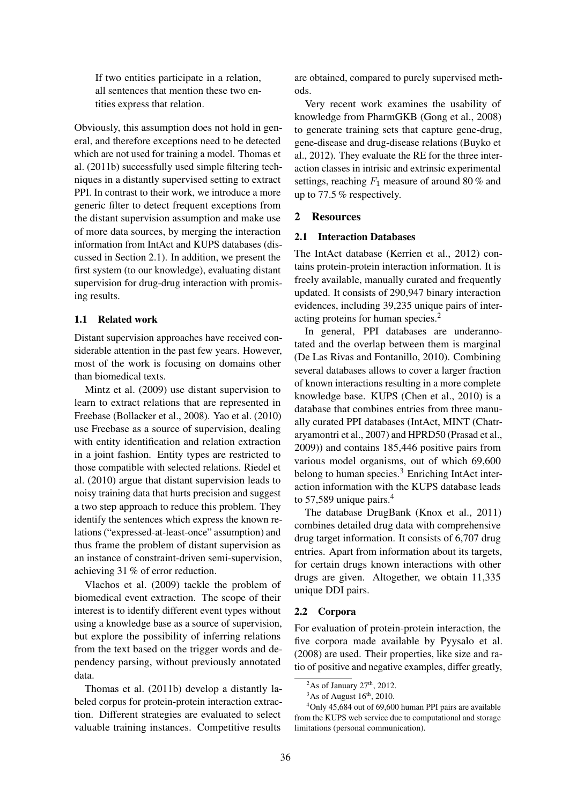If two entities participate in a relation, all sentences that mention these two entities express that relation.

Obviously, this assumption does not hold in general, and therefore exceptions need to be detected which are not used for training a model. Thomas et al. (2011b) successfully used simple filtering techniques in a distantly supervised setting to extract PPI. In contrast to their work, we introduce a more generic filter to detect frequent exceptions from the distant supervision assumption and make use of more data sources, by merging the interaction information from IntAct and KUPS databases (discussed in Section 2.1). In addition, we present the first system (to our knowledge), evaluating distant supervision for drug-drug interaction with promising results.

### 1.1 Related work

Distant supervision approaches have received considerable attention in the past few years. However, most of the work is focusing on domains other than biomedical texts.

Mintz et al. (2009) use distant supervision to learn to extract relations that are represented in Freebase (Bollacker et al., 2008). Yao et al. (2010) use Freebase as a source of supervision, dealing with entity identification and relation extraction in a joint fashion. Entity types are restricted to those compatible with selected relations. Riedel et al. (2010) argue that distant supervision leads to noisy training data that hurts precision and suggest a two step approach to reduce this problem. They identify the sentences which express the known relations ("expressed-at-least-once" assumption) and thus frame the problem of distant supervision as an instance of constraint-driven semi-supervision, achieving 31 % of error reduction.

Vlachos et al. (2009) tackle the problem of biomedical event extraction. The scope of their interest is to identify different event types without using a knowledge base as a source of supervision, but explore the possibility of inferring relations from the text based on the trigger words and dependency parsing, without previously annotated data.

Thomas et al. (2011b) develop a distantly labeled corpus for protein-protein interaction extraction. Different strategies are evaluated to select valuable training instances. Competitive results

are obtained, compared to purely supervised methods.

Very recent work examines the usability of knowledge from PharmGKB (Gong et al., 2008) to generate training sets that capture gene-drug, gene-disease and drug-disease relations (Buyko et al., 2012). They evaluate the RE for the three interaction classes in intrisic and extrinsic experimental settings, reaching  $F_1$  measure of around 80 % and up to 77.5 % respectively.

# 2 Resources

### 2.1 Interaction Databases

The IntAct database (Kerrien et al., 2012) contains protein-protein interaction information. It is freely available, manually curated and frequently updated. It consists of 290,947 binary interaction evidences, including 39,235 unique pairs of interacting proteins for human species.<sup>2</sup>

In general, PPI databases are underannotated and the overlap between them is marginal (De Las Rivas and Fontanillo, 2010). Combining several databases allows to cover a larger fraction of known interactions resulting in a more complete knowledge base. KUPS (Chen et al., 2010) is a database that combines entries from three manually curated PPI databases (IntAct, MINT (Chatraryamontri et al., 2007) and HPRD50 (Prasad et al., 2009)) and contains 185,446 positive pairs from various model organisms, out of which 69,600 belong to human species.<sup>3</sup> Enriching IntAct interaction information with the KUPS database leads to 57,589 unique pairs.<sup>4</sup>

The database DrugBank (Knox et al., 2011) combines detailed drug data with comprehensive drug target information. It consists of 6,707 drug entries. Apart from information about its targets, for certain drugs known interactions with other drugs are given. Altogether, we obtain 11,335 unique DDI pairs.

# 2.2 Corpora

For evaluation of protein-protein interaction, the five corpora made available by Pyysalo et al. (2008) are used. Their properties, like size and ratio of positive and negative examples, differ greatly,

<sup>&</sup>lt;sup>2</sup>As of January  $27<sup>th</sup>$ , 2012.

 $3$ As of August  $16<sup>th</sup>$ , 2010.

 $4$ Only 45,684 out of 69,600 human PPI pairs are available from the KUPS web service due to computational and storage limitations (personal communication).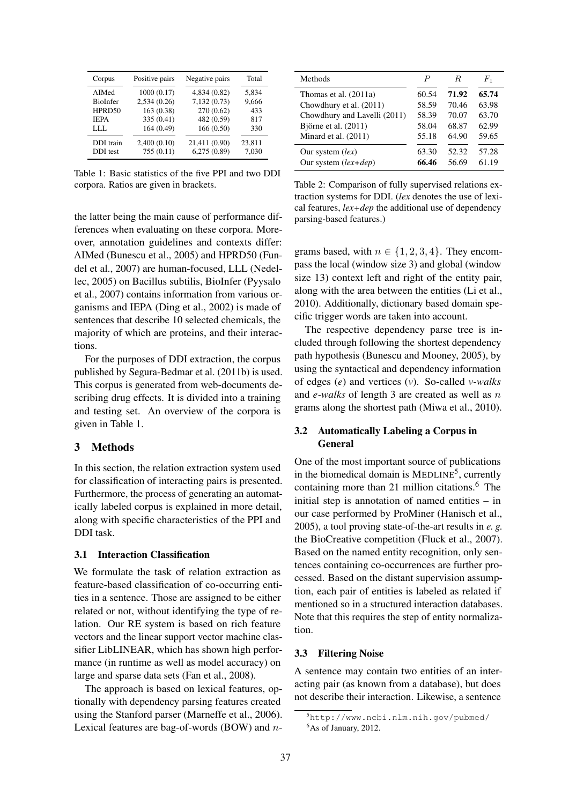| Corpus                       | Positive pairs           | Negative pairs               | Total           |
|------------------------------|--------------------------|------------------------------|-----------------|
| AIMed                        | 1000(0.17)               | 4,834 (0.82)                 | 5,834           |
| BioInfer                     | 2,534 (0.26)             | 7,132(0.73)                  | 9,666           |
| HPRD50                       | 163 (0.38)               | 270 (0.62)                   | 433             |
| <b>IEPA</b>                  | 335 (0.41)               | 482 (0.59)                   | 817             |
| LLL.                         | 164 (0.49)               | 166(0.50)                    | 330             |
| DDI train<br><b>DDI</b> test | 2,400(0.10)<br>755(0.11) | 21,411 (0.90)<br>6,275(0.89) | 23,811<br>7,030 |

Table 1: Basic statistics of the five PPI and two DDI corpora. Ratios are given in brackets.

| Methods                      | P     | R.    | F1    |
|------------------------------|-------|-------|-------|
| Thomas et al. (2011a)        | 60.54 | 71.92 | 65.74 |
| Chowdhury et al. (2011)      | 58.59 | 70.46 | 63.98 |
| Chowdhury and Lavelli (2011) | 58.39 | 70.07 | 63.70 |
| Björne et al. $(2011)$       | 58.04 | 68.87 | 62.99 |
| Minard et al. $(2011)$       | 55.18 | 64.90 | 59.65 |
| Our system $(lex)$           | 63.30 | 52.32 | 57.28 |
| Our system $(lex+dep)$       | 66.46 | 56.69 | 61.19 |

Table 2: Comparison of fully supervised relations extraction systems for DDI. (*lex* denotes the use of lexical features, *lex+dep* the additional use of dependency parsing-based features.)

the latter being the main cause of performance differences when evaluating on these corpora. Moreover, annotation guidelines and contexts differ: AIMed (Bunescu et al., 2005) and HPRD50 (Fundel et al., 2007) are human-focused, LLL (Nedellec, 2005) on Bacillus subtilis, BioInfer (Pyysalo et al., 2007) contains information from various organisms and IEPA (Ding et al., 2002) is made of sentences that describe 10 selected chemicals, the majority of which are proteins, and their interactions.

For the purposes of DDI extraction, the corpus published by Segura-Bedmar et al. (2011b) is used. This corpus is generated from web-documents describing drug effects. It is divided into a training and testing set. An overview of the corpora is given in Table 1.

### 3 Methods

In this section, the relation extraction system used for classification of interacting pairs is presented. Furthermore, the process of generating an automatically labeled corpus is explained in more detail, along with specific characteristics of the PPI and DDI task.

#### 3.1 Interaction Classification

We formulate the task of relation extraction as feature-based classification of co-occurring entities in a sentence. Those are assigned to be either related or not, without identifying the type of relation. Our RE system is based on rich feature vectors and the linear support vector machine classifier LibLINEAR, which has shown high performance (in runtime as well as model accuracy) on large and sparse data sets (Fan et al., 2008).

The approach is based on lexical features, optionally with dependency parsing features created using the Stanford parser (Marneffe et al., 2006). Lexical features are bag-of-words (BOW) and ngrams based, with  $n \in \{1, 2, 3, 4\}$ . They encompass the local (window size 3) and global (window size 13) context left and right of the entity pair, along with the area between the entities (Li et al., 2010). Additionally, dictionary based domain specific trigger words are taken into account.

The respective dependency parse tree is included through following the shortest dependency path hypothesis (Bunescu and Mooney, 2005), by using the syntactical and dependency information of edges (*e*) and vertices (*v*). So-called *v-walks* and *e-walks* of length 3 are created as well as n grams along the shortest path (Miwa et al., 2010).

### 3.2 Automatically Labeling a Corpus in General

One of the most important source of publications in the biomedical domain is MEDLINE<sup>5</sup>, currently containing more than 21 million citations.<sup>6</sup> The initial step is annotation of named entities – in our case performed by ProMiner (Hanisch et al., 2005), a tool proving state-of-the-art results in *e. g.* the BioCreative competition (Fluck et al., 2007). Based on the named entity recognition, only sentences containing co-occurrences are further processed. Based on the distant supervision assumption, each pair of entities is labeled as related if mentioned so in a structured interaction databases. Note that this requires the step of entity normalization.

#### 3.3 Filtering Noise

A sentence may contain two entities of an interacting pair (as known from a database), but does not describe their interaction. Likewise, a sentence

<sup>5</sup>http://www.ncbi.nlm.nih.gov/pubmed/ <sup>6</sup>As of January, 2012.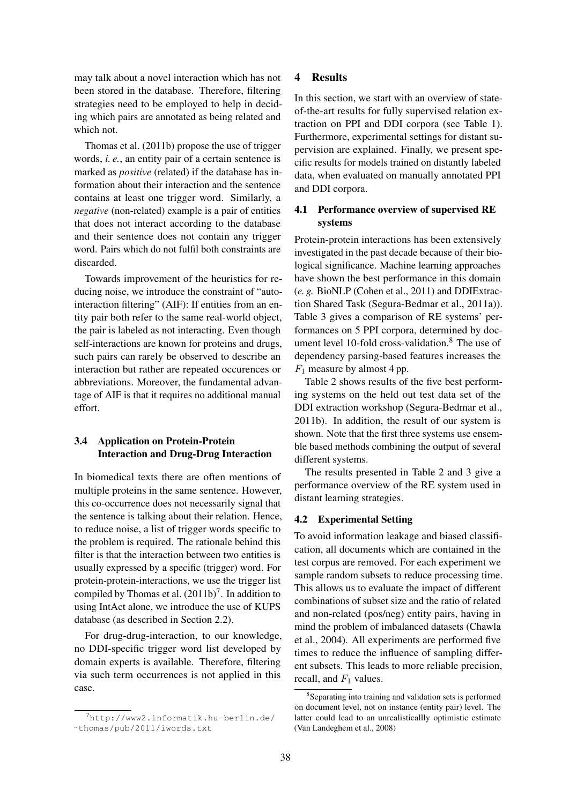may talk about a novel interaction which has not been stored in the database. Therefore, filtering strategies need to be employed to help in deciding which pairs are annotated as being related and which not.

Thomas et al. (2011b) propose the use of trigger words, *i. e.*, an entity pair of a certain sentence is marked as *positive* (related) if the database has information about their interaction and the sentence contains at least one trigger word. Similarly, a *negative* (non-related) example is a pair of entities that does not interact according to the database and their sentence does not contain any trigger word. Pairs which do not fulfil both constraints are discarded.

Towards improvement of the heuristics for reducing noise, we introduce the constraint of "autointeraction filtering" (AIF): If entities from an entity pair both refer to the same real-world object, the pair is labeled as not interacting. Even though self-interactions are known for proteins and drugs, such pairs can rarely be observed to describe an interaction but rather are repeated occurences or abbreviations. Moreover, the fundamental advantage of AIF is that it requires no additional manual effort.

# 3.4 Application on Protein-Protein Interaction and Drug-Drug Interaction

In biomedical texts there are often mentions of multiple proteins in the same sentence. However, this co-occurrence does not necessarily signal that the sentence is talking about their relation. Hence, to reduce noise, a list of trigger words specific to the problem is required. The rationale behind this filter is that the interaction between two entities is usually expressed by a specific (trigger) word. For protein-protein-interactions, we use the trigger list compiled by Thomas et al.  $(2011b)^7$ . In addition to using IntAct alone, we introduce the use of KUPS database (as described in Section 2.2).

For drug-drug-interaction, to our knowledge, no DDI-specific trigger word list developed by domain experts is available. Therefore, filtering via such term occurrences is not applied in this case.

# 4 Results

In this section, we start with an overview of stateof-the-art results for fully supervised relation extraction on PPI and DDI corpora (see Table 1). Furthermore, experimental settings for distant supervision are explained. Finally, we present specific results for models trained on distantly labeled data, when evaluated on manually annotated PPI and DDI corpora.

# 4.1 Performance overview of supervised RE systems

Protein-protein interactions has been extensively investigated in the past decade because of their biological significance. Machine learning approaches have shown the best performance in this domain (*e. g.* BioNLP (Cohen et al., 2011) and DDIExtraction Shared Task (Segura-Bedmar et al., 2011a)). Table 3 gives a comparison of RE systems' performances on 5 PPI corpora, determined by document level 10-fold cross-validation. $8$  The use of dependency parsing-based features increases the  $F_1$  measure by almost 4 pp.

Table 2 shows results of the five best performing systems on the held out test data set of the DDI extraction workshop (Segura-Bedmar et al., 2011b). In addition, the result of our system is shown. Note that the first three systems use ensemble based methods combining the output of several different systems.

The results presented in Table 2 and 3 give a performance overview of the RE system used in distant learning strategies.

# 4.2 Experimental Setting

To avoid information leakage and biased classification, all documents which are contained in the test corpus are removed. For each experiment we sample random subsets to reduce processing time. This allows us to evaluate the impact of different combinations of subset size and the ratio of related and non-related (pos/neg) entity pairs, having in mind the problem of imbalanced datasets (Chawla et al., 2004). All experiments are performed five times to reduce the influence of sampling different subsets. This leads to more reliable precision, recall, and  $F_1$  values.

<sup>7</sup>http://www2.informatik.hu-berlin.de/ ˜thomas/pub/2011/iwords.txt

<sup>8</sup> Separating into training and validation sets is performed on document level, not on instance (entity pair) level. The latter could lead to an unrealisticallly optimistic estimate (Van Landeghem et al., 2008)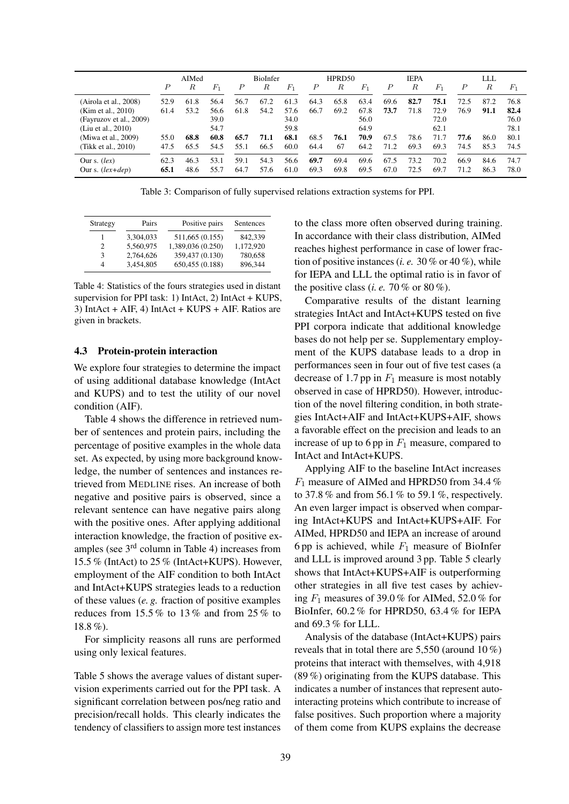|                         |      | AIMed |       |                  | BioInfer |       |                  | HPRD50 |       |                  | <b>IEPA</b> |       |                  | LLL  |       |
|-------------------------|------|-------|-------|------------------|----------|-------|------------------|--------|-------|------------------|-------------|-------|------------------|------|-------|
|                         | P    | R     | $F_1$ | $\boldsymbol{P}$ | R        | $F_1$ | $\boldsymbol{P}$ | R      | $F_1$ | $\boldsymbol{P}$ | R           | $F_1$ | $\boldsymbol{P}$ | R    | $F_1$ |
| (Airola et al., 2008)   | 52.9 | 61.8  | 56.4  | 56.7             | 67.2     | 61.3  | 64.3             | 65.8   | 63.4  | 69.6             | 82.7        | 75.1  | 72.5             | 87.2 | 76.8  |
| (Kim et al., 2010)      | 61.4 | 53.2  | 56.6  | 61.8             | 54.2     | 57.6  | 66.7             | 69.2   | 67.8  | 73.7             | 71.8        | 72.9  | 76.9             | 91.1 | 82.4  |
| (Fayruzov et al., 2009) |      |       | 39.0  |                  |          | 34.0  |                  |        | 56.0  |                  |             | 72.0  |                  |      | 76.0  |
| (Liu et al., 2010)      |      |       | 54.7  |                  |          | 59.8  |                  |        | 64.9  |                  |             | 62.1  |                  |      | 78.1  |
| (Miwa et al., 2009)     | 55.0 | 68.8  | 60.8  | 65.7             | 71.1     | 68.1  | 68.5             | 76.1   | 70.9  | 67.5             | 78.6        | 71.7  | 77.6             | 86.0 | 80.1  |
| (Tikk et al., 2010)     | 47.5 | 65.5  | 54.5  | 55.1             | 66.5     | 60.0  | 64.4             | 67     | 64.2  | 71.2             | 69.3        | 69.3  | 74.5             | 85.3 | 74.5  |
| Our s. $(lex)$          | 62.3 | 46.3  | 53.1  | 59.1             | 54.3     | 56.6  | 69.7             | 69.4   | 69.6  | 67.5             | 73.2        | 70.2  | 66.9             | 84.6 | 74.7  |
| Our s. $lex+dep)$       | 65.1 | 48.6  | 55.7  | 64.7             | 57.6     | 61.0  | 69.3             | 69.8   | 69.5  | 67.0             | 72.5        | 69.7  | 71.2             | 86.3 | 78.0  |

Table 3: Comparison of fully supervised relations extraction systems for PPI.

| Strategy | Pairs     | Positive pairs    | Sentences |
|----------|-----------|-------------------|-----------|
|          | 3.304.033 | 511,665 (0.155)   | 842.339   |
| 2        | 5.560.975 | 1,389,036 (0.250) | 1.172.920 |
| 3        | 2,764,626 | 359,437 (0.130)   | 780,658   |
| 4        | 3.454.805 | 650,455 (0.188)   | 896.344   |

Table 4: Statistics of the fours strategies used in distant supervision for PPI task: 1) IntAct, 2) IntAct + KUPS, 3) IntAct + AIF, 4) IntAct + KUPS + AIF. Ratios are given in brackets.

### 4.3 Protein-protein interaction

We explore four strategies to determine the impact of using additional database knowledge (IntAct and KUPS) and to test the utility of our novel condition (AIF).

Table 4 shows the difference in retrieved number of sentences and protein pairs, including the percentage of positive examples in the whole data set. As expected, by using more background knowledge, the number of sentences and instances retrieved from MEDLINE rises. An increase of both negative and positive pairs is observed, since a relevant sentence can have negative pairs along with the positive ones. After applying additional interaction knowledge, the fraction of positive examples (see  $3<sup>rd</sup>$  column in Table 4) increases from 15.5 % (IntAct) to 25 % (IntAct+KUPS). However, employment of the AIF condition to both IntAct and IntAct+KUPS strategies leads to a reduction of these values (*e. g.* fraction of positive examples reduces from  $15.5\%$  to  $13\%$  and from  $25\%$  to 18.8 %).

For simplicity reasons all runs are performed using only lexical features.

Table 5 shows the average values of distant supervision experiments carried out for the PPI task. A significant correlation between pos/neg ratio and precision/recall holds. This clearly indicates the tendency of classifiers to assign more test instances

to the class more often observed during training. In accordance with their class distribution, AIMed reaches highest performance in case of lower fraction of positive instances (*i. e.* 30 % or 40 %), while for IEPA and LLL the optimal ratio is in favor of the positive class (*i. e.* 70 % or 80 %).

Comparative results of the distant learning strategies IntAct and IntAct+KUPS tested on five PPI corpora indicate that additional knowledge bases do not help per se. Supplementary employment of the KUPS database leads to a drop in performances seen in four out of five test cases (a decrease of 1.7 pp in  $F_1$  measure is most notably observed in case of HPRD50). However, introduction of the novel filtering condition, in both strategies IntAct+AIF and IntAct+KUPS+AIF, shows a favorable effect on the precision and leads to an increase of up to 6 pp in  $F_1$  measure, compared to IntAct and IntAct+KUPS.

Applying AIF to the baseline IntAct increases  $F_1$  measure of AIMed and HPRD50 from 34.4 % to 37.8 % and from 56.1 % to 59.1 %, respectively. An even larger impact is observed when comparing IntAct+KUPS and IntAct+KUPS+AIF. For AIMed, HPRD50 and IEPA an increase of around 6 pp is achieved, while  $F_1$  measure of BioInfer and LLL is improved around 3 pp. Table 5 clearly shows that IntAct+KUPS+AIF is outperforming other strategies in all five test cases by achieving  $F_1$  measures of 39.0 % for AIMed, 52.0 % for BioInfer, 60.2 % for HPRD50, 63.4 % for IEPA and 69.3 % for LLL.

Analysis of the database (IntAct+KUPS) pairs reveals that in total there are 5,550 (around 10 %) proteins that interact with themselves, with 4,918 (89 %) originating from the KUPS database. This indicates a number of instances that represent autointeracting proteins which contribute to increase of false positives. Such proportion where a majority of them come from KUPS explains the decrease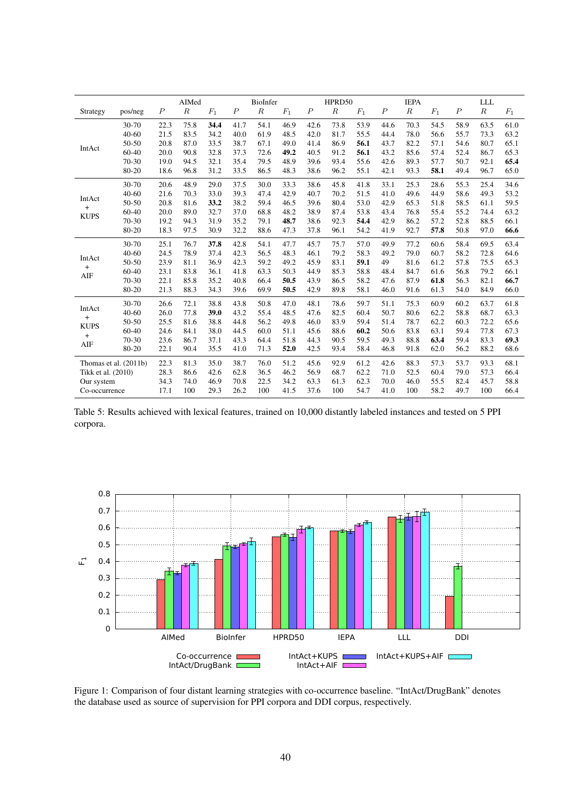|                          |                       |                  | AIMed  |       |                  | BioInfer         |       |                  | HPRD50 |       |                  | <b>IEPA</b> |       |                  | LLL    |                 |
|--------------------------|-----------------------|------------------|--------|-------|------------------|------------------|-------|------------------|--------|-------|------------------|-------------|-------|------------------|--------|-----------------|
| Strategy                 | pos/neg               | $\boldsymbol{P}$ | $_{R}$ | $F_1$ | $\boldsymbol{P}$ | $\boldsymbol{R}$ | $F_1$ | $\boldsymbol{P}$ | $_{R}$ | $F_1$ | $\boldsymbol{P}$ | $_{R}$      | $F_1$ | $\boldsymbol{P}$ | $_{R}$ | $\mathcal{F}_1$ |
|                          | 30-70                 | 22.3             | 75.8   | 34.4  | 41.7             | 54.1             | 46.9  | 42.6             | 73.8   | 53.9  | 44.6             | 70.3        | 54.5  | 58.9             | 63.5   | 61.0            |
|                          | $40 - 60$             | 21.5             | 83.5   | 34.2  | 40.0             | 61.9             | 48.5  | 42.0             | 81.7   | 55.5  | 44.4             | 78.0        | 56.6  | 55.7             | 73.3   | 63.2            |
| IntAct                   | 50-50                 | 20.8             | 87.0   | 33.5  | 38.7             | 67.1             | 49.0  | 41.4             | 86.9   | 56.1  | 43.7             | 82.2        | 57.1  | 54.6             | 80.7   | 65.1            |
|                          | $60 - 40$             | 20.0             | 90.8   | 32.8  | 37.3             | 72.6             | 49.2  | 40.5             | 91.2   | 56.1  | 43.2             | 85.6        | 57.4  | 52.4             | 86.7   | 65.3            |
|                          | $70-30$               | 19.0             | 94.5   | 32.1  | 35.4             | 79.5             | 48.9  | 39.6             | 93.4   | 55.6  | 42.6             | 89.3        | 57.7  | 50.7             | 92.1   | 65.4            |
|                          | 80-20                 | 18.6             | 96.8   | 31.2  | 33.5             | 86.5             | 48.3  | 38.6             | 96.2   | 55.1  | 42.1             | 93.3        | 58.1  | 49.4             | 96.7   | 65.0            |
|                          | 30-70                 | 20.6             | 48.9   | 29.0  | 37.5             | 30.0             | 33.3  | 38.6             | 45.8   | 41.8  | 33.1             | 25.3        | 28.6  | 55.3             | 25.4   | 34.6            |
| IntAct                   | $40 - 60$             | 21.6             | 70.3   | 33.0  | 39.3             | 47.4             | 42.9  | 40.7             | 70.2   | 51.5  | 41.0             | 49.6        | 44.9  | 58.6             | 49.3   | 53.2            |
|                          | 50-50                 | 20.8             | 81.6   | 33.2  | 38.2             | 59.4             | 46.5  | 39.6             | 80.4   | 53.0  | 42.9             | 65.3        | 51.8  | 58.5             | 61.1   | 59.5            |
| $\ddot{}$<br><b>KUPS</b> | 60-40                 | 20.0             | 89.0   | 32.7  | 37.0             | 68.8             | 48.2  | 38.9             | 87.4   | 53.8  | 43.4             | 76.8        | 55.4  | 55.2             | 74.4   | 63.2            |
|                          | 70-30                 | 19.2             | 94.3   | 31.9  | 35.2             | 79.1             | 48.7  | 38.6             | 92.3   | 54.4  | 42.9             | 86.2        | 57.2  | 52.8             | 88.5   | 66.1            |
|                          | 80-20                 | 18.3             | 97.5   | 30.9  | 32.2             | 88.6             | 47.3  | 37.8             | 96.1   | 54.2  | 41.9             | 92.7        | 57.8  | 50.8             | 97.0   | 66.6            |
|                          | 30-70                 | 25.1             | 76.7   | 37.8  | 42.8             | 54.1             | 47.7  | 45.7             | 75.7   | 57.0  | 49.9             | 77.2        | 60.6  | 58.4             | 69.5   | 63.4            |
| IntAct                   | $40 - 60$             | 24.5             | 78.9   | 37.4  | 42.3             | 56.5             | 48.3  | 46.1             | 79.2   | 58.3  | 49.2             | 79.0        | 60.7  | 58.2             | 72.8   | 64.6            |
| $\ddot{}$                | 50-50                 | 23.9             | 81.1   | 36.9  | 42.3             | 59.2             | 49.2  | 45.9             | 83.1   | 59.1  | 49               | 81.6        | 61.2  | 57.8             | 75.5   | 65.3            |
| AIF                      | $60 - 40$             | 23.1             | 83.8   | 36.1  | 41.8             | 63.3             | 50.3  | 44.9             | 85.3   | 58.8  | 48.4             | 84.7        | 61.6  | 56.8             | 79.2   | 66.1            |
|                          | 70-30                 | 22.1             | 85.8   | 35.2  | 40.8             | 66.4             | 50.5  | 43.9             | 86.5   | 58.2  | 47.6             | 87.9        | 61.8  | 56.3             | 82.1   | 66.7            |
|                          | 80-20                 | 21.3             | 88.3   | 34.3  | 39.6             | 69.9             | 50.5  | 42.9             | 89.8   | 58.1  | 46.0             | 91.6        | 61.3  | 54.0             | 84.9   | 66.0            |
| IntAct                   | 30-70                 | 26.6             | 72.1   | 38.8  | 43.8             | 50.8             | 47.0  | 48.1             | 78.6   | 59.7  | 51.1             | 75.3        | 60.9  | 60.2             | 63.7   | 61.8            |
| $\pm$                    | $40 - 60$             | 26.0             | 77.8   | 39.0  | 43.2             | 55.4             | 48.5  | 47.6             | 82.5   | 60.4  | 50.7             | 80.6        | 62.2  | 58.8             | 68.7   | 63.3            |
| <b>KUPS</b>              | 50-50                 | 25.5             | 81.6   | 38.8  | 44.8             | 56.2             | 49.8  | 46.0             | 83.9   | 59.4  | 51.4             | 78.7        | 62.2  | 60.3             | 72.2   | 65.6            |
| $\ddot{}$                | $60 - 40$             | 24.6             | 84.1   | 38.0  | 44.5             | 60.0             | 51.1  | 45.6             | 88.6   | 60.2  | 50.6             | 83.8        | 63.1  | 59.4             | 77.8   | 67.3            |
| AIF                      | 70-30                 | 23.6             | 86.7   | 37.1  | 43.3             | 64.4             | 51.8  | 44.3             | 90.5   | 59.5  | 49.3             | 88.8        | 63.4  | 59.4             | 83.3   | 69.3            |
|                          | 80-20                 | 22.1             | 90.4   | 35.5  | 41.0             | 71.3             | 52.0  | 42.5             | 93.4   | 58.4  | 46.8             | 91.8        | 62.0  | 56.2             | 88.2   | 68.6            |
|                          | Thomas et al. (2011b) | 22.3             | 81.3   | 35.0  | 38.7             | 76.0             | 51.2  | 45.6             | 92.9   | 61.2  | 42.6             | 88.3        | 57.3  | 53.7             | 93.3   | 68.1            |
| Tikk et al. (2010)       |                       | 28.3             | 86.6   | 42.6  | 62.8             | 36.5             | 46.2  | 56.9             | 68.7   | 62.2  | 71.0             | 52.5        | 60.4  | 79.0             | 57.3   | 66.4            |
| Our system               |                       | 34.3             | 74.0   | 46.9  | 70.8             | 22.5             | 34.2  | 63.3             | 61.3   | 62.3  | 70.0             | 46.0        | 55.5  | 82.4             | 45.7   | 58.8            |
| Co-occurrence            |                       | 17.1             | 100    | 29.3  | 26.2             | 100              | 41.5  | 37.6             | 100    | 54.7  | 41.0             | 100         | 58.2  | 49.7             | 100    | 66.4            |

Table 5: Results achieved with lexical features, trained on 10,000 distantly labeled instances and tested on 5 PPI corpora.



Figure 1: Comparison of four distant learning strategies with co-occurrence baseline. "IntAct/DrugBank" denotes the database used as source of supervision for PPI corpora and DDI corpus, respectively.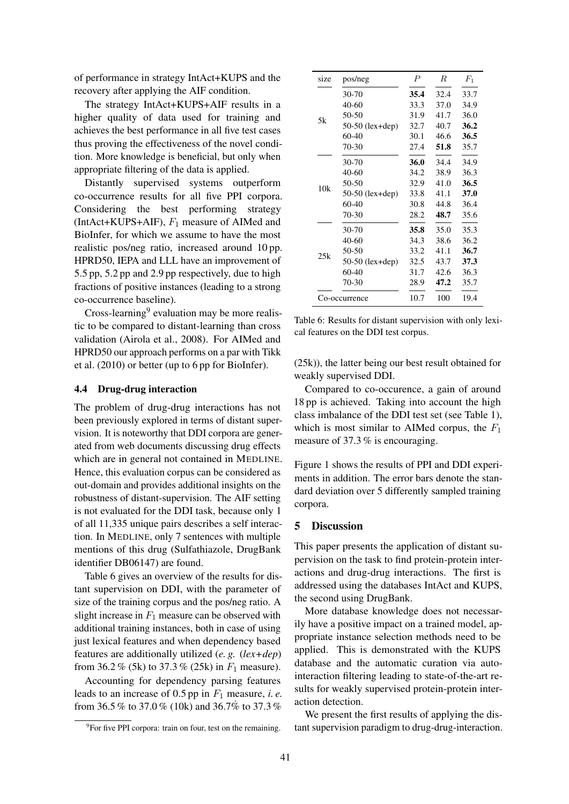of performance in strategy IntAct+KUPS and the recovery after applying the AIF condition.

The strategy IntAct+KUPS+AIF results in a higher quality of data used for training and achieves the best performance in all five test cases thus proving the effectiveness of the novel condition. More knowledge is beneficial, but only when appropriate filtering of the data is applied.

Distantly supervised systems outperform co-occurrence results for all five PPI corpora. Considering the best performing strategy (IntAct+KUPS+AIF),  $F_1$  measure of AIMed and BioInfer, for which we assume to have the most realistic pos/neg ratio, increased around 10 pp. HPRD50, IEPA and LLL have an improvement of 5.5 pp, 5.2 pp and 2.9 pp respectively, due to high fractions of positive instances (leading to a strong co-occurrence baseline).

Cross-learning<sup>9</sup> evaluation may be more realistic to be compared to distant-learning than cross validation (Airola et al., 2008). For AIMed and HPRD50 our approach performs on a par with Tikk et al. (2010) or better (up to 6 pp for BioInfer).

#### 4.4 Drug-drug interaction

The problem of drug-drug interactions has not been previously explored in terms of distant supervision. It is noteworthy that DDI corpora are generated from web documents discussing drug effects which are in general not contained in MEDLINE. Hence, this evaluation corpus can be considered as out-domain and provides additional insights on the robustness of distant-supervision. The AIF setting is not evaluated for the DDI task, because only 1 of all 11,335 unique pairs describes a self interaction. In MEDLINE, only 7 sentences with multiple mentions of this drug (Sulfathiazole, DrugBank identifier DB06147) are found.

Table 6 gives an overview of the results for distant supervision on DDI, with the parameter of size of the training corpus and the pos/neg ratio. A slight increase in  $F_1$  measure can be observed with additional training instances, both in case of using just lexical features and when dependency based features are additionally utilized (*e. g.* (*lex+dep*) from 36.2 % (5k) to 37.3 % (25k) in  $F_1$  measure).

Accounting for dependency parsing features leads to an increase of  $0.5$  pp in  $F_1$  measure, *i. e.* from 36.5 % to 37.0 % (10k) and 36.7% to 37.3 %

| size | pos/neg           | $\boldsymbol{P}$ | $\boldsymbol{R}$ | $F_1$ |
|------|-------------------|------------------|------------------|-------|
|      | 30-70             | 35.4             | 32.4             | 33.7  |
|      | 40-60             | 33.3             | 37.0             | 34.9  |
| 5k   | 50-50             | 31.9             | 41.7             | 36.0  |
|      | 50-50 (lex+dep)   | 32.7             | 40.7             | 36.2  |
|      | 60-40             | 30.1             | 46.6             | 36.5  |
|      | 70-30             | 27.4             | 51.8             | 35.7  |
|      | 30-70             | 36.0             | 34.4             | 34.9  |
|      | 40-60             | 34.2             | 38.9             | 36.3  |
| 10k  | 50-50             | 32.9             | 41.0             | 36.5  |
|      | 50-50 $(lex+dep)$ | 33.8             | 41.1             | 37.0  |
|      | 60-40             | 30.8             | 44.8             | 36.4  |
|      | 70-30             | 28.2             | 48.7             | 35.6  |
|      | 30-70             | 35.8             | 35.0             | 35.3  |
|      | 40-60             | 34.3             | 38.6             | 36.2  |
| 25k  | 50-50             | 33.2             | 41.1             | 36.7  |
|      | $50-50$ (lex+dep) | 32.5             | 43.7             | 37.3  |
|      | 60-40             | 31.7             | 42.6             | 36.3  |
|      | 70-30             | 28.9             | 47.2             | 35.7  |
|      | Co-occurrence     | 10.7             | 100              | 19.4  |

Table 6: Results for distant supervision with only lexical features on the DDI test corpus.

(25k)), the latter being our best result obtained for weakly supervised DDI.

Compared to co-occurence, a gain of around 18 pp is achieved. Taking into account the high class imbalance of the DDI test set (see Table 1), which is most similar to AIMed corpus, the  $F_1$ measure of 37.3 % is encouraging.

Figure 1 shows the results of PPI and DDI experiments in addition. The error bars denote the standard deviation over 5 differently sampled training corpora.

#### 5 Discussion

This paper presents the application of distant supervision on the task to find protein-protein interactions and drug-drug interactions. The first is addressed using the databases IntAct and KUPS, the second using DrugBank.

More database knowledge does not necessarily have a positive impact on a trained model, appropriate instance selection methods need to be applied. This is demonstrated with the KUPS database and the automatic curation via autointeraction filtering leading to state-of-the-art results for weakly supervised protein-protein interaction detection.

We present the first results of applying the distant supervision paradigm to drug-drug-interaction.

<sup>&</sup>lt;sup>9</sup>For five PPI corpora: train on four, test on the remaining.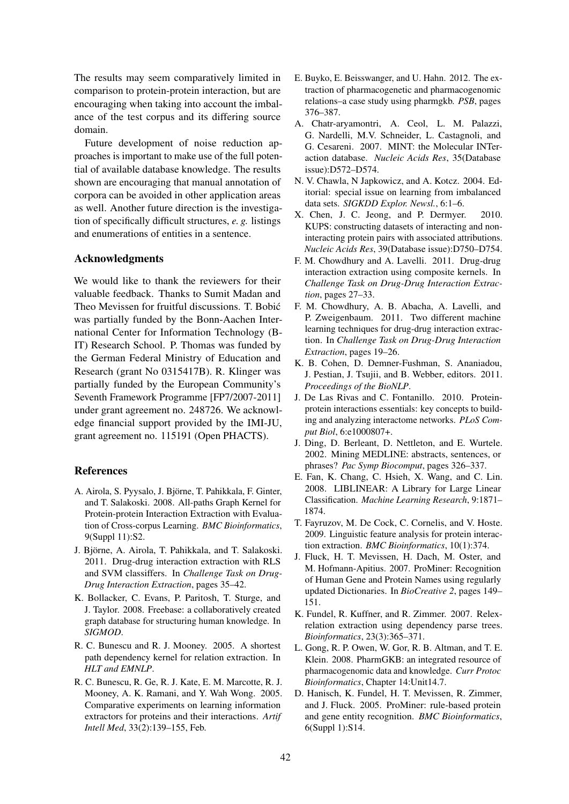The results may seem comparatively limited in comparison to protein-protein interaction, but are encouraging when taking into account the imbalance of the test corpus and its differing source domain.

Future development of noise reduction approaches is important to make use of the full potential of available database knowledge. The results shown are encouraging that manual annotation of corpora can be avoided in other application areas as well. Another future direction is the investigation of specifically difficult structures, *e. g.* listings and enumerations of entities in a sentence.

### Acknowledgments

We would like to thank the reviewers for their valuable feedback. Thanks to Sumit Madan and Theo Mevissen for fruitful discussions. T. Bobic´ was partially funded by the Bonn-Aachen International Center for Information Technology (B-IT) Research School. P. Thomas was funded by the German Federal Ministry of Education and Research (grant No 0315417B). R. Klinger was partially funded by the European Community's Seventh Framework Programme [FP7/2007-2011] under grant agreement no. 248726. We acknowledge financial support provided by the IMI-JU, grant agreement no. 115191 (Open PHACTS).

# References

- A. Airola, S. Pyysalo, J. Björne, T. Pahikkala, F. Ginter, and T. Salakoski. 2008. All-paths Graph Kernel for Protein-protein Interaction Extraction with Evaluation of Cross-corpus Learning. *BMC Bioinformatics*, 9(Suppl 11):S2.
- J. Björne, A. Airola, T. Pahikkala, and T. Salakoski. 2011. Drug-drug interaction extraction with RLS and SVM classiffers. In *Challenge Task on Drug-Drug Interaction Extraction*, pages 35–42.
- K. Bollacker, C. Evans, P. Paritosh, T. Sturge, and J. Taylor. 2008. Freebase: a collaboratively created graph database for structuring human knowledge. In *SIGMOD*.
- R. C. Bunescu and R. J. Mooney. 2005. A shortest path dependency kernel for relation extraction. In *HLT and EMNLP*.
- R. C. Bunescu, R. Ge, R. J. Kate, E. M. Marcotte, R. J. Mooney, A. K. Ramani, and Y. Wah Wong. 2005. Comparative experiments on learning information extractors for proteins and their interactions. *Artif Intell Med*, 33(2):139–155, Feb.
- E. Buyko, E. Beisswanger, and U. Hahn. 2012. The extraction of pharmacogenetic and pharmacogenomic relations–a case study using pharmgkb. *PSB*, pages 376–387.
- A. Chatr-aryamontri, A. Ceol, L. M. Palazzi, G. Nardelli, M.V. Schneider, L. Castagnoli, and G. Cesareni. 2007. MINT: the Molecular INTeraction database. *Nucleic Acids Res*, 35(Database issue):D572–D574.
- N. V. Chawla, N Japkowicz, and A. Kotcz. 2004. Editorial: special issue on learning from imbalanced data sets. *SIGKDD Explor. Newsl.*, 6:1–6.
- X. Chen, J. C. Jeong, and P. Dermyer. 2010. KUPS: constructing datasets of interacting and noninteracting protein pairs with associated attributions. *Nucleic Acids Res*, 39(Database issue):D750–D754.
- F. M. Chowdhury and A. Lavelli. 2011. Drug-drug interaction extraction using composite kernels. In *Challenge Task on Drug-Drug Interaction Extraction*, pages 27–33.
- F. M. Chowdhury, A. B. Abacha, A. Lavelli, and P. Zweigenbaum. 2011. Two different machine learning techniques for drug-drug interaction extraction. In *Challenge Task on Drug-Drug Interaction Extraction*, pages 19–26.
- K. B. Cohen, D. Demner-Fushman, S. Ananiadou, J. Pestian, J. Tsujii, and B. Webber, editors. 2011. *Proceedings of the BioNLP*.
- J. De Las Rivas and C. Fontanillo. 2010. Proteinprotein interactions essentials: key concepts to building and analyzing interactome networks. *PLoS Comput Biol*, 6:e1000807+.
- J. Ding, D. Berleant, D. Nettleton, and E. Wurtele. 2002. Mining MEDLINE: abstracts, sentences, or phrases? *Pac Symp Biocomput*, pages 326–337.
- E. Fan, K. Chang, C. Hsieh, X. Wang, and C. Lin. 2008. LIBLINEAR: A Library for Large Linear Classification. *Machine Learning Research*, 9:1871– 1874.
- T. Fayruzov, M. De Cock, C. Cornelis, and V. Hoste. 2009. Linguistic feature analysis for protein interaction extraction. *BMC Bioinformatics*, 10(1):374.
- J. Fluck, H. T. Mevissen, H. Dach, M. Oster, and M. Hofmann-Apitius. 2007. ProMiner: Recognition of Human Gene and Protein Names using regularly updated Dictionaries. In *BioCreative 2*, pages 149– 151.
- K. Fundel, R. Kuffner, and R. Zimmer. 2007. Relexrelation extraction using dependency parse trees. *Bioinformatics*, 23(3):365–371.
- L. Gong, R. P. Owen, W. Gor, R. B. Altman, and T. E. Klein. 2008. PharmGKB: an integrated resource of pharmacogenomic data and knowledge. *Curr Protoc Bioinformatics*, Chapter 14:Unit14.7.
- D. Hanisch, K. Fundel, H. T. Mevissen, R. Zimmer, and J. Fluck. 2005. ProMiner: rule-based protein and gene entity recognition. *BMC Bioinformatics*, 6(Suppl 1):S14.